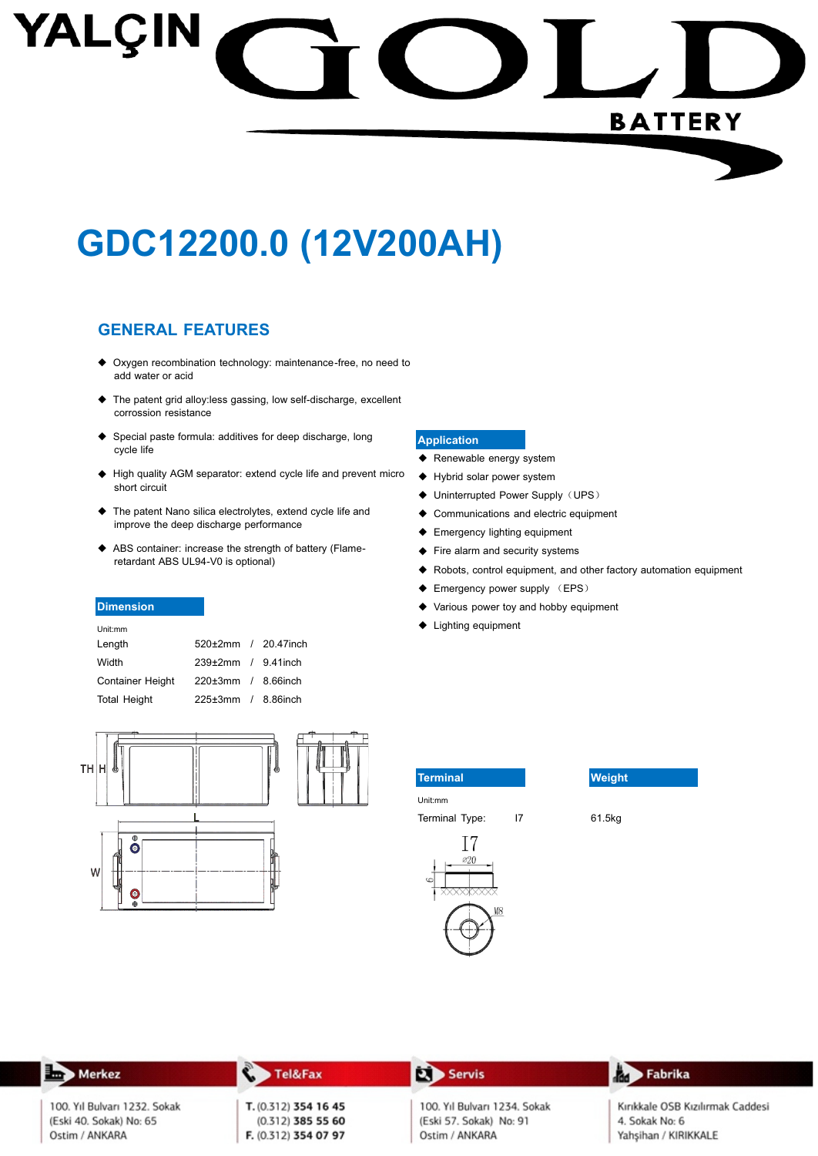# YALÇIN **BATTERY**

## GDC12200.0 (12V200AH)

#### **GENERAL FEATURES**

- ◆ Oxygen recombination technology: maintenance-free, no need to add water or acid
- ◆ The patent grid alloy:less gassing, low self-discharge, excellent corrossion resistance
- ◆ Special paste formula: additives for deep discharge, long cycle life
- High quality AGM separator: extend cycle life and prevent micro short circuit
- ◆ The patent Nano silica electrolytes, extend cycle life and improve the deep discharge performance
- ◆ ABS container: increase the strength of battery (Flameretardant ABS UL94-V0 is optional)

#### **Dimension**

| Unit:mm             |                           |  |
|---------------------|---------------------------|--|
| Length              | 520±2mm / 20.47inch       |  |
| Width               | $239\pm2mm$ / 9.41 inch   |  |
| Container Height    | $220 \pm 3$ mm / 8.66inch |  |
| <b>Total Height</b> | $225\pm3$ mm / 8.86inch   |  |



#### **Application**

- ◆ Renewable energy system
- ♦ Hybrid solar power system
- ◆ Uninterrupted Power Supply (UPS)
- ♦ Communications and electric equipment
- ← Emergency lighting equipment
- Fire alarm and security systems
- ◆ Robots, control equipment, and other factory automation equipment
- ← Emergency power supply (EPS)
- Various power toy and hobby equipment  $\bullet$

 $\overline{17}$ 

◆ Lighting equipment

| <b>Terminal</b> |  |
|-----------------|--|
| Unit:mm         |  |
| Terminal Type:  |  |





61.5kg